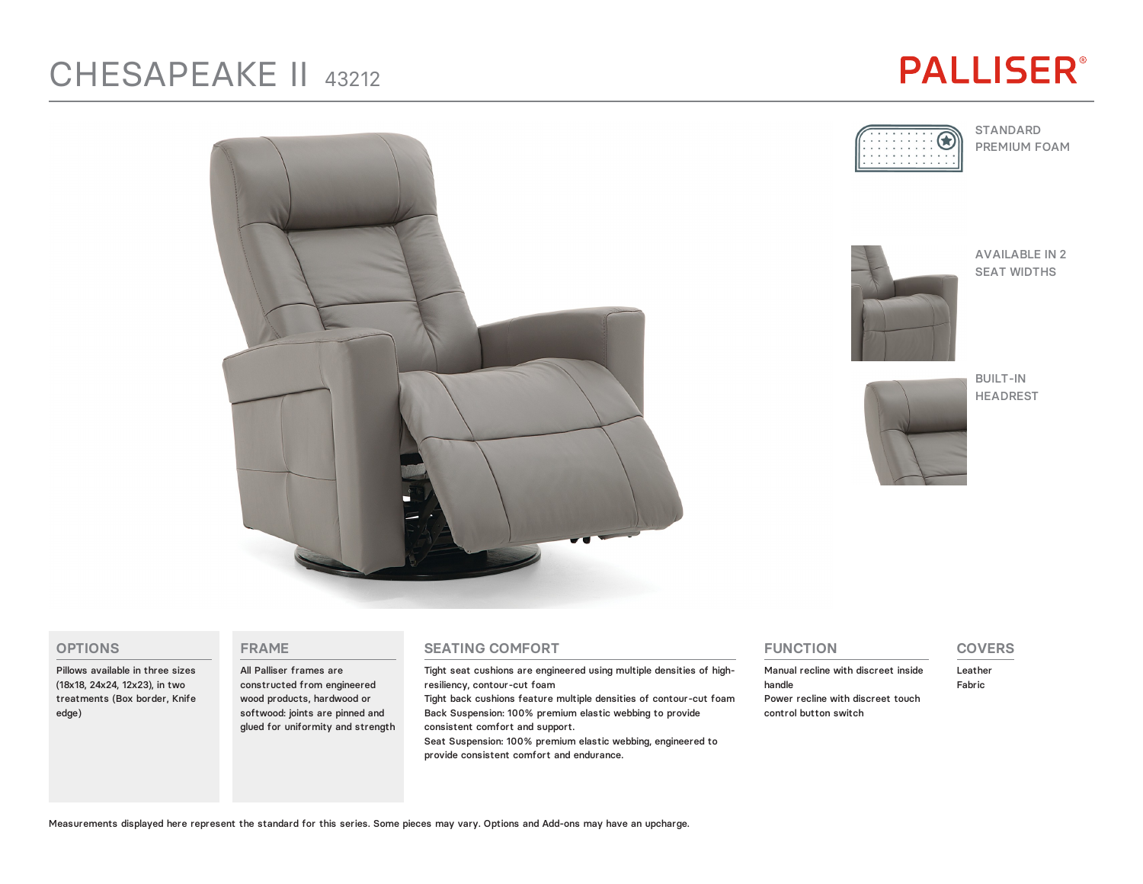## CHESAPEAKE II <sup>43212</sup>

# **PALLISER®**



**STANDARD** PREMIUM FOAM



AVAILABLE IN 2 SEAT WIDTHS



BUILT-IN HEADREST



#### **OPTIONS**

Pillows available in three sizes (18x18, 24x24, 12x23), in two treatments (Box border, Knife edge)

#### **FRAME**

All Palliser frames are constructed from engineered wood products, hardwood or softwood: joints are pinned and glued for uniformity and strength

#### **SEATING COMFORT**

Tight seat cushions are engineered using multiple densities of highresiliency, contour-cut foam

Tight back cushions feature multiple densities of contour-cut foam Back Suspension: 100% premium elastic webbing to provide consistent comfort and support.

Seat Suspension: 100% premium elastic webbing, engineered to provide consistent comfort and endurance.

#### **FUNCTION**

Manual recline with discreet inside handle Power recline with discreet touch control button switch

### **COVERS**

Leather Fabric

Measurements displayed here represent the standard for this series. Some pieces may vary. Options and Add-ons may have an upcharge.